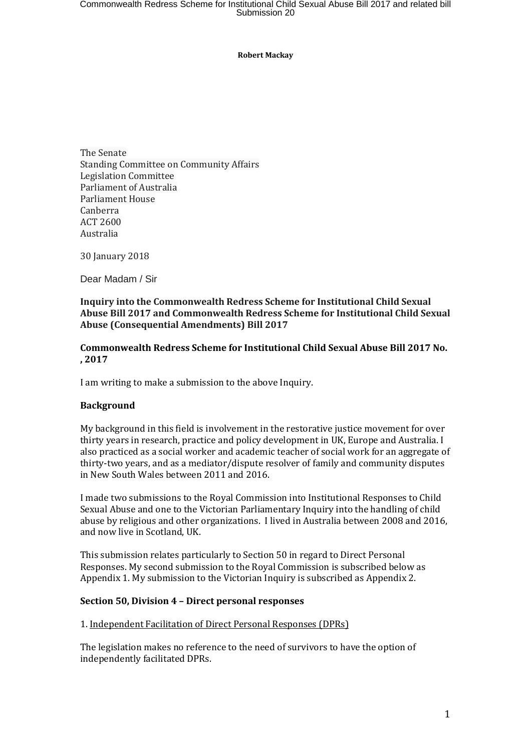#### **Robert Mackay**

The Senate Standing Committee on Community Affairs Legislation Committee Parliament of Australia Parliament House Canberra ACT 2600 Australia

30 January 2018

Dear Madam / Sir

#### **Inquiry into the Commonwealth Redress Scheme for Institutional Child Sexual Abuse Bill 2017 and Commonwealth Redress Scheme for Institutional Child Sexual Abuse (Consequential Amendments) Bill 2017**

**Commonwealth Redress Scheme for Institutional Child Sexual Abuse Bill 2017 No. , 2017**

I am writing to make a submission to the above Inquiry.

#### **Background**

My background in this field is involvement in the restorative justice movement for over thirty years in research, practice and policy development in UK, Europe and Australia. I also practiced as a social worker and academic teacher of social work for an aggregate of thirty-two years, and as a mediator/dispute resolver of family and community disputes in New South Wales between 2011 and 2016.

I made two submissions to the Royal Commission into Institutional Responses to Child Sexual Abuse and one to the Victorian Parliamentary Inquiry into the handling of child abuse by religious and other organizations. I lived in Australia between 2008 and 2016, and now live in Scotland, UK.

This submission relates particularly to Section 50 in regard to Direct Personal Responses. My second submission to the Royal Commission is subscribed below as Appendix 1. My submission to the Victorian Inquiry is subscribed as Appendix 2.

#### **Section 50, Division 4 – Direct personal responses**

#### 1. Independent Facilitation of Direct Personal Responses (DPRs)

The legislation makes no reference to the need of survivors to have the option of independently facilitated DPRs.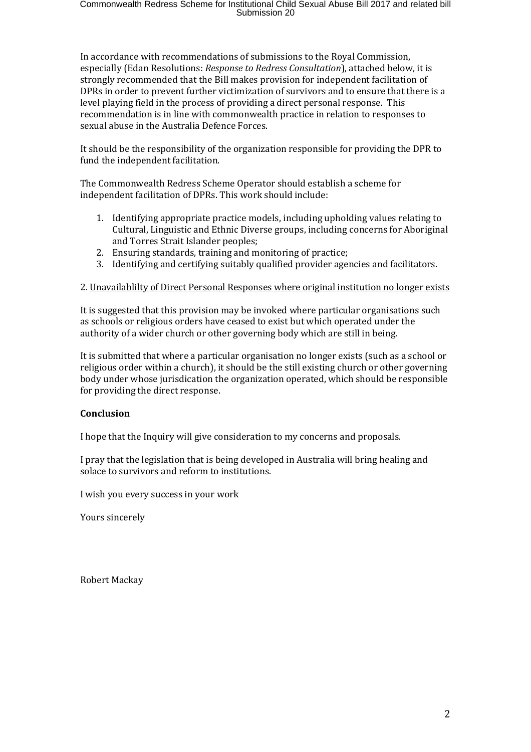In accordance with recommendations of submissions to the Royal Commission, especially (Edan Resolutions: *Response to Redress Consultation*), attached below, it is strongly recommended that the Bill makes provision for independent facilitation of DPRs in order to prevent further victimization of survivors and to ensure that there is a level playing field in the process of providing a direct personal response. This recommendation is in line with commonwealth practice in relation to responses to sexual abuse in the Australia Defence Forces.

It should be the responsibility of the organization responsible for providing the DPR to fund the independent facilitation.

The Commonwealth Redress Scheme Operator should establish a scheme for independent facilitation of DPRs. This work should include:

- 1. Identifying appropriate practice models, including upholding values relating to Cultural, Linguistic and Ethnic Diverse groups, including concerns for Aboriginal and Torres Strait Islander peoples;
- 2. Ensuring standards, training and monitoring of practice;
- 3. Identifying and certifying suitably qualified provider agencies and facilitators.

## 2. Unavailablilty of Direct Personal Responses where original institution no longer exists

It is suggested that this provision may be invoked where particular organisations such as schools or religious orders have ceased to exist but which operated under the authority of a wider church or other governing body which are still in being.

It is submitted that where a particular organisation no longer exists (such as a school or religious order within a church), it should be the still existing church or other governing body under whose jurisdication the organization operated, which should be responsible for providing the direct response.

## **Conclusion**

I hope that the Inquiry will give consideration to my concerns and proposals.

I pray that the legislation that is being developed in Australia will bring healing and solace to survivors and reform to institutions.

I wish you every success in your work

Yours sincerely

Robert Mackay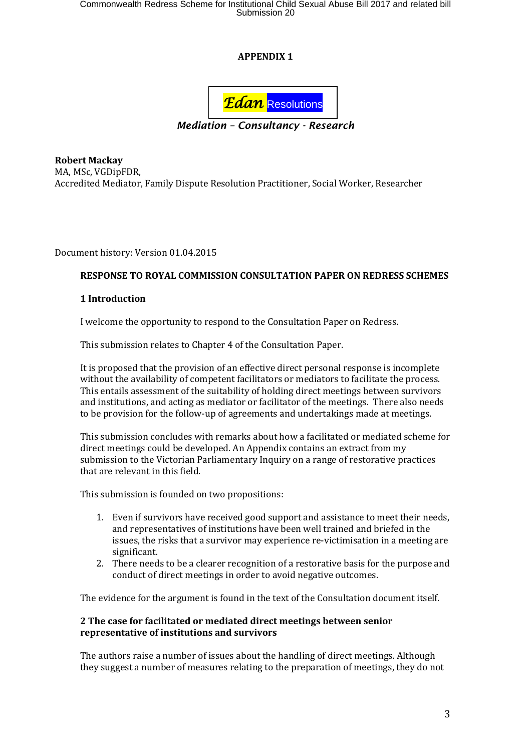Commonwealth Redress Scheme for Institutional Child Sexual Abuse Bill 2017 and related bill<br>Submission 20

# **APPENDIX 1**



*Mediation – Consultancy - Research*

**Robert Mackay**  MA, MSc, VGDipFDR, Accredited Mediator, Family Dispute Resolution Practitioner, Social Worker, Researcher

Document history: Version 01.04.2015

## **RESPONSE TO ROYAL COMMISSION CONSULTATION PAPER ON REDRESS SCHEMES**

#### **1 Introduction**

I welcome the opportunity to respond to the Consultation Paper on Redress.

This submission relates to Chapter 4 of the Consultation Paper.

It is proposed that the provision of an effective direct personal response is incomplete without the availability of competent facilitators or mediators to facilitate the process. This entails assessment of the suitability of holding direct meetings between survivors and institutions, and acting as mediator or facilitator of the meetings. There also needs to be provision for the follow-up of agreements and undertakings made at meetings.

This submission concludes with remarks about how a facilitated or mediated scheme for direct meetings could be developed. An Appendix contains an extract from my submission to the Victorian Parliamentary Inquiry on a range of restorative practices that are relevant in this field.

This submission is founded on two propositions:

- 1. Even if survivors have received good support and assistance to meet their needs, and representatives of institutions have been well trained and briefed in the issues, the risks that a survivor may experience re-victimisation in a meeting are significant.
- 2. There needs to be a clearer recognition of a restorative basis for the purpose and conduct of direct meetings in order to avoid negative outcomes.

The evidence for the argument is found in the text of the Consultation document itself.

## **2 The case for facilitated or mediated direct meetings between senior representative of institutions and survivors**

The authors raise a number of issues about the handling of direct meetings. Although they suggest a number of measures relating to the preparation of meetings, they do not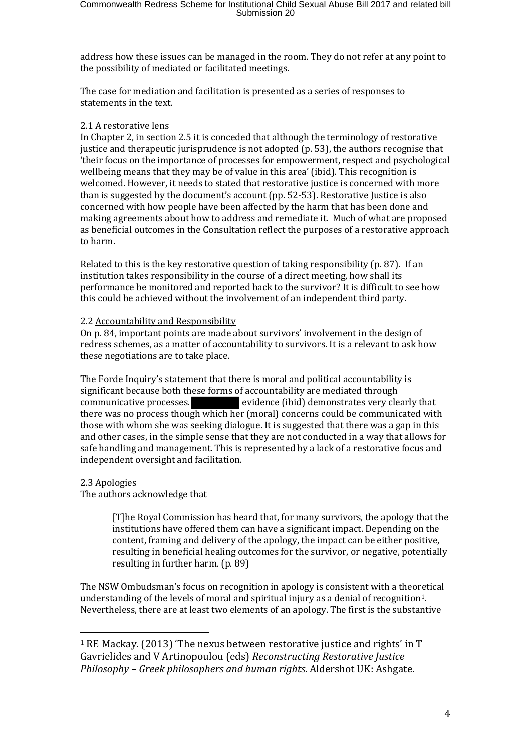address how these issues can be managed in the room. They do not refer at any point to the possibility of mediated or facilitated meetings.

The case for mediation and facilitation is presented as a series of responses to statements in the text.

## 2.1 A restorative lens

In Chapter 2, in section 2.5 it is conceded that although the terminology of restorative justice and therapeutic jurisprudence is not adopted (p. 53), the authors recognise that 'their focus on the importance of processes for empowerment, respect and psychological wellbeing means that they may be of value in this area' (ibid). This recognition is welcomed. However, it needs to stated that restorative justice is concerned with more than is suggested by the document's account (pp. 52-53). Restorative Justice is also concerned with how people have been affected by the harm that has been done and making agreements about how to address and remediate it. Much of what are proposed as beneficial outcomes in the Consultation reflect the purposes of a restorative approach to harm.

Related to this is the key restorative question of taking responsibility (p. 87). If an institution takes responsibility in the course of a direct meeting, how shall its performance be monitored and reported back to the survivor? It is difficult to see how this could be achieved without the involvement of an independent third party.

# 2.2 Accountability and Responsibility

On p. 84, important points are made about survivors' involvement in the design of redress schemes, as a matter of accountability to survivors. It is a relevant to ask how these negotiations are to take place.

The Forde Inquiry's statement that there is moral and political accountability is significant because both these forms of accountability are mediated through communicative processes. evidence (ibid) demonstrates very clearly that there was no process though which her (moral) concerns could be communicated with those with whom she was seeking dialogue. It is suggested that there was a gap in this and other cases, in the simple sense that they are not conducted in a way that allows for safe handling and management. This is represented by a lack of a restorative focus and independent oversight and facilitation.

## 2.3 Apologies

The authors acknowledge that

[T]he Royal Commission has heard that, for many survivors, the apology that the institutions have offered them can have a significant impact. Depending on the content, framing and delivery of the apology, the impact can be either positive, resulting in beneficial healing outcomes for the survivor, or negative, potentially resulting in further harm. (p. 89)

The NSW Ombudsman's focus on recognition in apology is consistent with a theoretical understanding of the levels of moral and spiritual injury as a denial of recognition[1](#page-3-0). Nevertheless, there are at least two elements of an apology. The first is the substantive

<span id="page-3-0"></span>j  $1$  RE Mackay. (2013) 'The nexus between restorative justice and rights' in T Gavrielides and V Artinopoulou (eds) *Reconstructing Restorative Justice Philosophy – Greek philosophers and human rights*. Aldershot UK: Ashgate.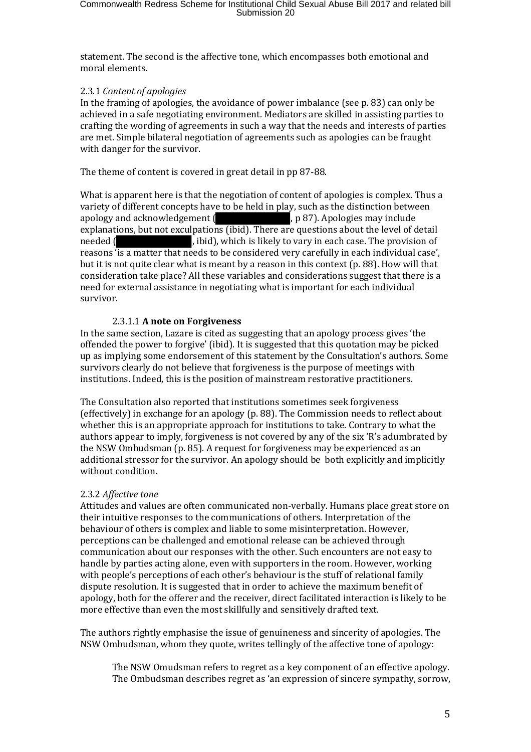statement. The second is the affective tone, which encompasses both emotional and moral elements.

## 2.3.1 *Content of apologies*

In the framing of apologies, the avoidance of power imbalance (see p. 83) can only be achieved in a safe negotiating environment. Mediators are skilled in assisting parties to crafting the wording of agreements in such a way that the needs and interests of parties are met. Simple bilateral negotiation of agreements such as apologies can be fraught with danger for the survivor.

The theme of content is covered in great detail in pp 87-88.

What is apparent here is that the negotiation of content of apologies is complex. Thus a variety of different concepts have to be held in play, such as the distinction between<br>apology and acknowledgement ( $\Box$ , p 87). Apologies may include , p 87). Apologies may include explanations, but not exculpations (ibid). There are questions about the level of detail , ibid), which is likely to vary in each case. The provision of reasons 'is a matter that needs to be considered very carefully in each individual case', but it is not quite clear what is meant by a reason in this context (p. 88). How will that consideration take place? All these variables and considerations suggest that there is a need for external assistance in negotiating what is important for each individual survivor.

# 2.3.1.1 **A note on Forgiveness**

In the same section, Lazare is cited as suggesting that an apology process gives 'the offended the power to forgive' (ibid). It is suggested that this quotation may be picked up as implying some endorsement of this statement by the Consultation's authors. Some survivors clearly do not believe that forgiveness is the purpose of meetings with institutions. Indeed, this is the position of mainstream restorative practitioners.

The Consultation also reported that institutions sometimes seek forgiveness (effectively) in exchange for an apology (p. 88). The Commission needs to reflect about whether this is an appropriate approach for institutions to take. Contrary to what the authors appear to imply, forgiveness is not covered by any of the six 'R's adumbrated by the NSW Ombudsman (p. 85). A request for forgiveness may be experienced as an additional stressor for the survivor. An apology should be both explicitly and implicitly without condition.

## 2.3.2 *Affective tone*

Attitudes and values are often communicated non-verbally. Humans place great store on their intuitive responses to the communications of others. Interpretation of the behaviour of others is complex and liable to some misinterpretation. However, perceptions can be challenged and emotional release can be achieved through communication about our responses with the other. Such encounters are not easy to handle by parties acting alone, even with supporters in the room. However, working with people's perceptions of each other's behaviour is the stuff of relational family dispute resolution. It is suggested that in order to achieve the maximum benefit of apology, both for the offerer and the receiver, direct facilitated interaction is likely to be more effective than even the most skillfully and sensitively drafted text.

The authors rightly emphasise the issue of genuineness and sincerity of apologies. The NSW Ombudsman, whom they quote, writes tellingly of the affective tone of apology:

The NSW Omudsman refers to regret as a key component of an effective apology. The Ombudsman describes regret as 'an expression of sincere sympathy, sorrow,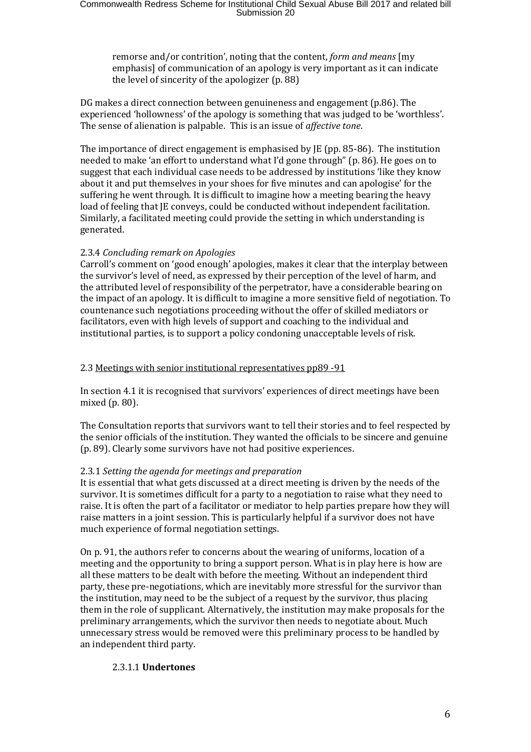remorse and/or contrition', noting that the content, *form and means* [my emphasis] of communication of an apology is very important as it can indicate the level of sincerity of the apologizer (p. 88)

DG makes a direct connection between genuineness and engagement (p.86). The experienced 'hollowness' of the apology is something that was judged to be 'worthless'. The sense of alienation is palpable. This is an issue of *affective tone*.

The importance of direct engagement is emphasised by JE (pp. 85-86). The institution needed to make 'an effort to understand what I'd gone through" (p. 86). He goes on to suggest that each individual case needs to be addressed by institutions 'like they know about it and put themselves in your shoes for five minutes and can apologise' for the suffering he went through. It is difficult to imagine how a meeting bearing the heavy load of feeling that JE conveys, could be conducted without independent facilitation. Similarly, a facilitated meeting could provide the setting in which understanding is generated.

## 2.3.4 *Concluding remark on Apologies*

Carroll's comment on 'good enough' apologies, makes it clear that the interplay between the survivor's level of need, as expressed by their perception of the level of harm, and the attributed level of responsibility of the perpetrator, have a considerable bearing on the impact of an apology. It is difficult to imagine a more sensitive field of negotiation. To countenance such negotiations proceeding without the offer of skilled mediators or facilitators, even with high levels of support and coaching to the individual and institutional parties, is to support a policy condoning unacceptable levels of risk.

#### 2.3 Meetings with senior institutional representatives pp89 -91

In section 4.1 it is recognised that survivors' experiences of direct meetings have been mixed (p. 80).

The Consultation reports that survivors want to tell their stories and to feel respected by the senior officials of the institution. They wanted the officials to be sincere and genuine (p. 89). Clearly some survivors have not had positive experiences.

## 2.3.1 *Setting the agenda for meetings and preparation*

It is essential that what gets discussed at a direct meeting is driven by the needs of the survivor. It is sometimes difficult for a party to a negotiation to raise what they need to raise. It is often the part of a facilitator or mediator to help parties prepare how they will raise matters in a joint session. This is particularly helpful if a survivor does not have much experience of formal negotiation settings.

On p. 91, the authors refer to concerns about the wearing of uniforms, location of a meeting and the opportunity to bring a support person. What is in play here is how are all these matters to be dealt with before the meeting. Without an independent third party, these pre-negotiations, which are inevitably more stressful for the survivor than the institution, may need to be the subject of a request by the survivor, thus placing them in the role of supplicant. Alternatively, the institution may make proposals for the preliminary arrangements, which the survivor then needs to negotiate about. Much unnecessary stress would be removed were this preliminary process to be handled by an independent third party.

## 2.3.1.1 **Undertones**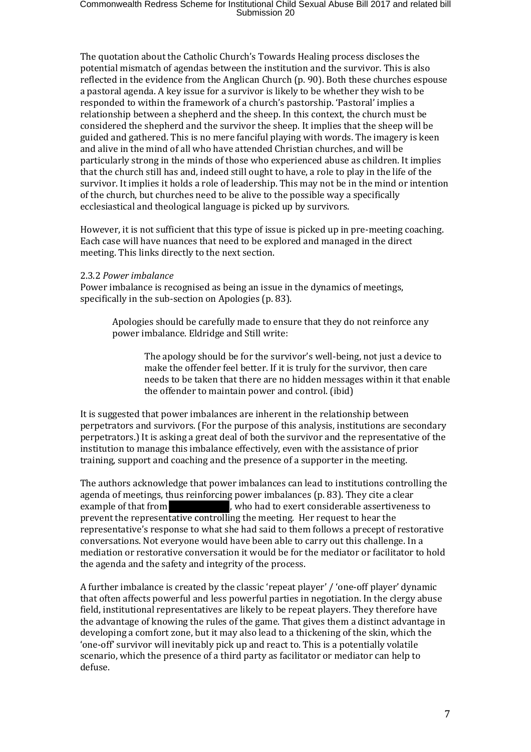The quotation about the Catholic Church's Towards Healing process discloses the potential mismatch of agendas between the institution and the survivor. This is also reflected in the evidence from the Anglican Church (p. 90). Both these churches espouse a pastoral agenda. A key issue for a survivor is likely to be whether they wish to be responded to within the framework of a church's pastorship. 'Pastoral' implies a relationship between a shepherd and the sheep. In this context, the church must be considered the shepherd and the survivor the sheep. It implies that the sheep will be guided and gathered. This is no mere fanciful playing with words. The imagery is keen and alive in the mind of all who have attended Christian churches, and will be particularly strong in the minds of those who experienced abuse as children. It implies that the church still has and, indeed still ought to have, a role to play in the life of the survivor. It implies it holds a role of leadership. This may not be in the mind or intention of the church, but churches need to be alive to the possible way a specifically ecclesiastical and theological language is picked up by survivors.

However, it is not sufficient that this type of issue is picked up in pre-meeting coaching. Each case will have nuances that need to be explored and managed in the direct meeting. This links directly to the next section.

#### 2.3.2 *Power imbalance*

Power imbalance is recognised as being an issue in the dynamics of meetings, specifically in the sub-section on Apologies (p. 83).

Apologies should be carefully made to ensure that they do not reinforce any power imbalance. Eldridge and Still write:

> The apology should be for the survivor's well-being, not just a device to make the offender feel better. If it is truly for the survivor, then care needs to be taken that there are no hidden messages within it that enable the offender to maintain power and control. (ibid)

It is suggested that power imbalances are inherent in the relationship between perpetrators and survivors. (For the purpose of this analysis, institutions are secondary perpetrators.) It is asking a great deal of both the survivor and the representative of the institution to manage this imbalance effectively, even with the assistance of prior training, support and coaching and the presence of a supporter in the meeting.

The authors acknowledge that power imbalances can lead to institutions controlling the agenda of meetings, thus reinforcing power imbalances (p. 83). They cite a clear<br>example of that from  $\blacksquare$  who had to exert considerable assertivenes , who had to exert considerable assertiveness to prevent the representative controlling the meeting. Her request to hear the representative's response to what she had said to them follows a precept of restorative conversations. Not everyone would have been able to carry out this challenge. In a mediation or restorative conversation it would be for the mediator or facilitator to hold the agenda and the safety and integrity of the process.

A further imbalance is created by the classic 'repeat player' / 'one-off player' dynamic that often affects powerful and less powerful parties in negotiation. In the clergy abuse field, institutional representatives are likely to be repeat players. They therefore have the advantage of knowing the rules of the game. That gives them a distinct advantage in developing a comfort zone, but it may also lead to a thickening of the skin, which the 'one-off' survivor will inevitably pick up and react to. This is a potentially volatile scenario, which the presence of a third party as facilitator or mediator can help to defuse.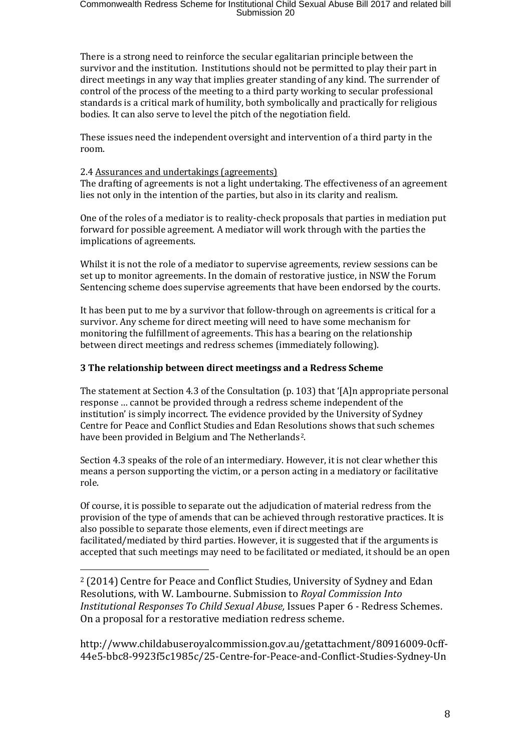There is a strong need to reinforce the secular egalitarian principle between the survivor and the institution. Institutions should not be permitted to play their part in direct meetings in any way that implies greater standing of any kind. The surrender of control of the process of the meeting to a third party working to secular professional standards is a critical mark of humility, both symbolically and practically for religious bodies. It can also serve to level the pitch of the negotiation field.

These issues need the independent oversight and intervention of a third party in the room.

# 2.4 Assurances and undertakings (agreements)

The drafting of agreements is not a light undertaking. The effectiveness of an agreement lies not only in the intention of the parties, but also in its clarity and realism.

One of the roles of a mediator is to reality-check proposals that parties in mediation put forward for possible agreement. A mediator will work through with the parties the implications of agreements.

Whilst it is not the role of a mediator to supervise agreements, review sessions can be set up to monitor agreements. In the domain of restorative justice, in NSW the Forum Sentencing scheme does supervise agreements that have been endorsed by the courts.

It has been put to me by a survivor that follow-through on agreements is critical for a survivor. Any scheme for direct meeting will need to have some mechanism for monitoring the fulfillment of agreements. This has a bearing on the relationship between direct meetings and redress schemes (immediately following).

# **3 The relationship between direct meetingss and a Redress Scheme**

The statement at Section 4.3 of the Consultation (p. 103) that '[A]n appropriate personal response … cannot be provided through a redress scheme independent of the institution' is simply incorrect. The evidence provided by the University of Sydney Centre for Peace and Conflict Studies and Edan Resolutions shows that such schemes have been provided in Belgium and The Netherlands<sup>2</sup>.

Section 4.3 speaks of the role of an intermediary. However, it is not clear whether this means a person supporting the victim, or a person acting in a mediatory or facilitative role.

Of course, it is possible to separate out the adjudication of material redress from the provision of the type of amends that can be achieved through restorative practices. It is also possible to separate those elements, even if direct meetings are facilitated/mediated by third parties. However, it is suggested that if the arguments is accepted that such meetings may need to be facilitated or mediated, it should be an open

<span id="page-7-0"></span> 2 (2014) Centre for Peace and Conflict Studies, University of Sydney and Edan Resolutions, with W. Lambourne. Submission to *Royal Commission Into Institutional Responses To Child Sexual Abuse,* Issues Paper 6 *-* Redress Schemes. On a proposal for a restorative mediation redress scheme.

http://www.childabuseroyalcommission.gov.au/getattachment/80916009-0cff-44e5-bbc8-9923f5c1985c/25-Centre-for-Peace-and-Conflict-Studies-Sydney-Un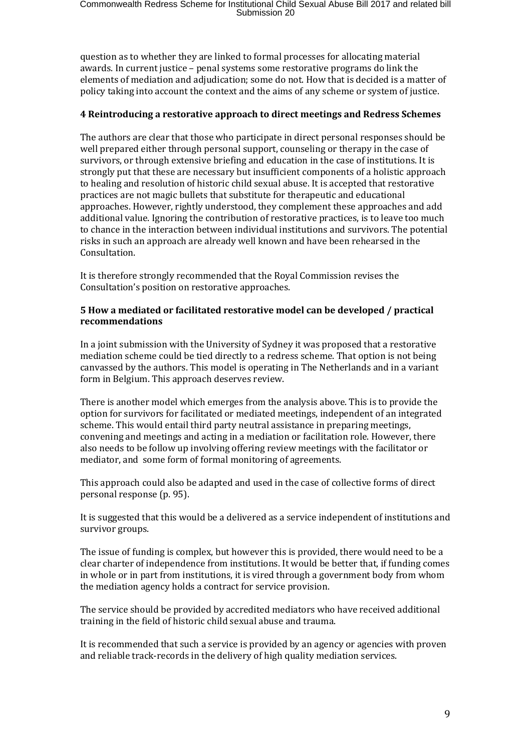question as to whether they are linked to formal processes for allocating material awards. In current justice – penal systems some restorative programs do link the elements of mediation and adjudication; some do not. How that is decided is a matter of policy taking into account the context and the aims of any scheme or system of justice.

# **4 Reintroducing a restorative approach to direct meetings and Redress Schemes**

The authors are clear that those who participate in direct personal responses should be well prepared either through personal support, counseling or therapy in the case of survivors, or through extensive briefing and education in the case of institutions. It is strongly put that these are necessary but insufficient components of a holistic approach to healing and resolution of historic child sexual abuse. It is accepted that restorative practices are not magic bullets that substitute for therapeutic and educational approaches. However, rightly understood, they complement these approaches and add additional value. Ignoring the contribution of restorative practices, is to leave too much to chance in the interaction between individual institutions and survivors. The potential risks in such an approach are already well known and have been rehearsed in the Consultation.

It is therefore strongly recommended that the Royal Commission revises the Consultation's position on restorative approaches.

# **5 How a mediated or facilitated restorative model can be developed / practical recommendations**

In a joint submission with the University of Sydney it was proposed that a restorative mediation scheme could be tied directly to a redress scheme. That option is not being canvassed by the authors. This model is operating in The Netherlands and in a variant form in Belgium. This approach deserves review.

There is another model which emerges from the analysis above. This is to provide the option for survivors for facilitated or mediated meetings, independent of an integrated scheme. This would entail third party neutral assistance in preparing meetings, convening and meetings and acting in a mediation or facilitation role. However, there also needs to be follow up involving offering review meetings with the facilitator or mediator, and some form of formal monitoring of agreements.

This approach could also be adapted and used in the case of collective forms of direct personal response (p. 95).

It is suggested that this would be a delivered as a service independent of institutions and survivor groups.

The issue of funding is complex, but however this is provided, there would need to be a clear charter of independence from institutions. It would be better that, if funding comes in whole or in part from institutions, it is vired through a government body from whom the mediation agency holds a contract for service provision.

The service should be provided by accredited mediators who have received additional training in the field of historic child sexual abuse and trauma.

It is recommended that such a service is provided by an agency or agencies with proven and reliable track-records in the delivery of high quality mediation services.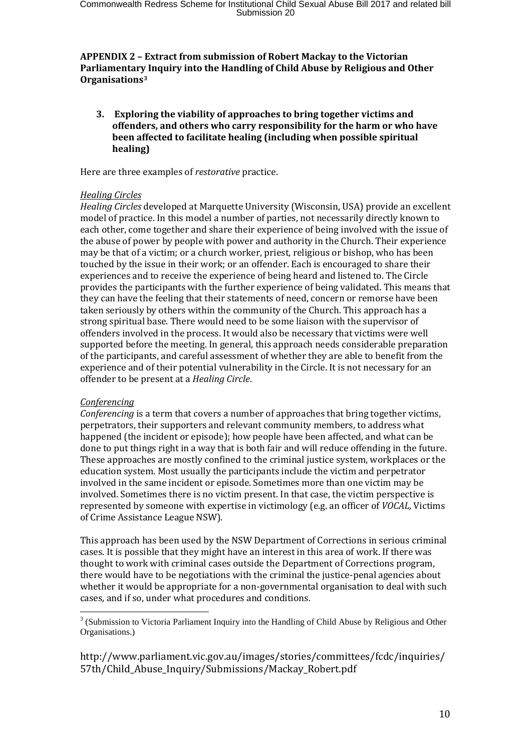# **APPENDIX 2 – Extract from submission of Robert Mackay to the Victorian Parliamentary Inquiry into the Handling of Child Abuse by Religious and Other Organisations[3](#page-9-0)**

**3. Exploring the viability of approaches to bring together victims and offenders, and others who carry responsibility for the harm or who have been affected to facilitate healing (including when possible spiritual healing)**

Here are three examples of *restorative* practice.

#### *Healing Circles*

*Healing Circles* developed at Marquette University (Wisconsin, USA) provide an excellent model of practice. In this model a number of parties, not necessarily directly known to each other, come together and share their experience of being involved with the issue of the abuse of power by people with power and authority in the Church. Their experience may be that of a victim; or a church worker, priest, religious or bishop, who has been touched by the issue in their work; or an offender. Each is encouraged to share their experiences and to receive the experience of being heard and listened to. The Circle provides the participants with the further experience of being validated. This means that they can have the feeling that their statements of need, concern or remorse have been taken seriously by others within the community of the Church. This approach has a strong spiritual base. There would need to be some liaison with the supervisor of offenders involved in the process. It would also be necessary that victims were well supported before the meeting. In general, this approach needs considerable preparation of the participants, and careful assessment of whether they are able to benefit from the experience and of their potential vulnerability in the Circle. It is not necessary for an offender to be present at a *Healing Circle*.

## *Conferencing*

*Conferencing* is a term that covers a number of approaches that bring together victims, perpetrators, their supporters and relevant community members, to address what happened (the incident or episode); how people have been affected, and what can be done to put things right in a way that is both fair and will reduce offending in the future. These approaches are mostly confined to the criminal justice system, workplaces or the education system. Most usually the participants include the victim and perpetrator involved in the same incident or episode. Sometimes more than one victim may be involved. Sometimes there is no victim present. In that case, the victim perspective is represented by someone with expertise in victimology (e.g. an officer of *VOCAL,* Victims of Crime Assistance League NSW).

This approach has been used by the NSW Department of Corrections in serious criminal cases. It is possible that they might have an interest in this area of work. If there was thought to work with criminal cases outside the Department of Corrections program, there would have to be negotiations with the criminal the justice-penal agencies about whether it would be appropriate for a non-governmental organisation to deal with such cases, and if so, under what procedures and conditions.

http://www.parliament.vic.gov.au/images/stories/committees/fcdc/inquiries/ 57th/Child\_Abuse\_Inquiry/Submissions/Mackay\_Robert.pdf

<span id="page-9-0"></span><sup>&</sup>lt;sup>3</sup> (Submission to Victoria Parliament Inquiry into the Handling of Child Abuse by Religious and Other Organisations.)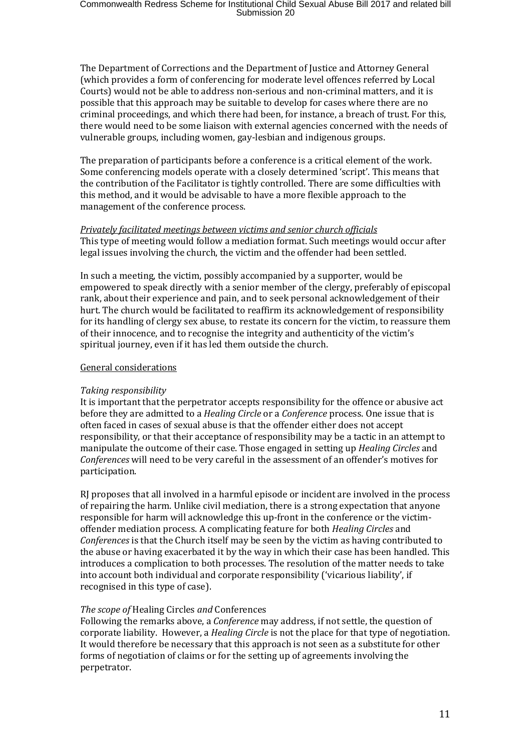The Department of Corrections and the Department of Justice and Attorney General (which provides a form of conferencing for moderate level offences referred by Local Courts) would not be able to address non-serious and non-criminal matters, and it is possible that this approach may be suitable to develop for cases where there are no criminal proceedings, and which there had been, for instance, a breach of trust. For this, there would need to be some liaison with external agencies concerned with the needs of vulnerable groups, including women, gay-lesbian and indigenous groups.

The preparation of participants before a conference is a critical element of the work. Some conferencing models operate with a closely determined 'script'. This means that the contribution of the Facilitator is tightly controlled. There are some difficulties with this method, and it would be advisable to have a more flexible approach to the management of the conference process.

# *Privately facilitated meetings between victims and senior church officials*

This type of meeting would follow a mediation format. Such meetings would occur after legal issues involving the church, the victim and the offender had been settled.

In such a meeting, the victim, possibly accompanied by a supporter, would be empowered to speak directly with a senior member of the clergy, preferably of episcopal rank, about their experience and pain, and to seek personal acknowledgement of their hurt. The church would be facilitated to reaffirm its acknowledgement of responsibility for its handling of clergy sex abuse, to restate its concern for the victim, to reassure them of their innocence, and to recognise the integrity and authenticity of the victim's spiritual journey, even if it has led them outside the church.

## General considerations

## *Taking responsibility*

It is important that the perpetrator accepts responsibility for the offence or abusive act before they are admitted to a *Healing Circle* or a *Conference* process. One issue that is often faced in cases of sexual abuse is that the offender either does not accept responsibility, or that their acceptance of responsibility may be a tactic in an attempt to manipulate the outcome of their case. Those engaged in setting up *Healing Circles* and *Conferences* will need to be very careful in the assessment of an offender's motives for participation.

RJ proposes that all involved in a harmful episode or incident are involved in the process of repairing the harm. Unlike civil mediation, there is a strong expectation that anyone responsible for harm will acknowledge this up-front in the conference or the victimoffender mediation process. A complicating feature for both *Healing Circles* and *Conferences* is that the Church itself may be seen by the victim as having contributed to the abuse or having exacerbated it by the way in which their case has been handled. This introduces a complication to both processes. The resolution of the matter needs to take into account both individual and corporate responsibility ('vicarious liability', if recognised in this type of case).

## *The scope of* Healing Circles *and* Conferences

Following the remarks above, a *Conference* may address, if not settle, the question of corporate liability. However, a *Healing Circle* is not the place for that type of negotiation. It would therefore be necessary that this approach is not seen as a substitute for other forms of negotiation of claims or for the setting up of agreements involving the perpetrator.